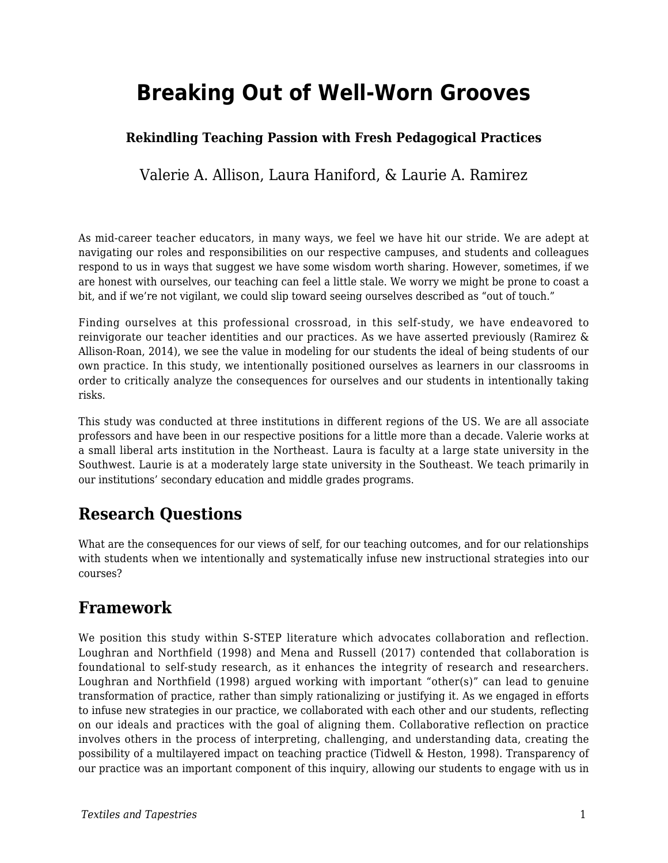# **Breaking Out of Well-Worn Grooves**

#### **Rekindling Teaching Passion with Fresh Pedagogical Practices**

Valerie A. Allison, Laura Haniford, & Laurie A. Ramirez

As mid-career teacher educators, in many ways, we feel we have hit our stride. We are adept at navigating our roles and responsibilities on our respective campuses, and students and colleagues respond to us in ways that suggest we have some wisdom worth sharing. However, sometimes, if we are honest with ourselves, our teaching can feel a little stale. We worry we might be prone to coast a bit, and if we're not vigilant, we could slip toward seeing ourselves described as "out of touch."

Finding ourselves at this professional crossroad, in this self-study, we have endeavored to reinvigorate our teacher identities and our practices. As we have asserted previously (Ramirez & Allison-Roan, 2014), we see the value in modeling for our students the ideal of being students of our own practice. In this study, we intentionally positioned ourselves as learners in our classrooms in order to critically analyze the consequences for ourselves and our students in intentionally taking risks.

This study was conducted at three institutions in different regions of the US. We are all associate professors and have been in our respective positions for a little more than a decade. Valerie works at a small liberal arts institution in the Northeast. Laura is faculty at a large state university in the Southwest. Laurie is at a moderately large state university in the Southeast. We teach primarily in our institutions' secondary education and middle grades programs.

# **Research Questions**

What are the consequences for our views of self, for our teaching outcomes, and for our relationships with students when we intentionally and systematically infuse new instructional strategies into our courses?

# **Framework**

We position this study within S-STEP literature which advocates collaboration and reflection. Loughran and Northfield (1998) and Mena and Russell (2017) contended that collaboration is foundational to self-study research, as it enhances the integrity of research and researchers. Loughran and Northfield (1998) argued working with important "other(s)" can lead to genuine transformation of practice, rather than simply rationalizing or justifying it. As we engaged in efforts to infuse new strategies in our practice, we collaborated with each other and our students, reflecting on our ideals and practices with the goal of aligning them. Collaborative reflection on practice involves others in the process of interpreting, challenging, and understanding data, creating the possibility of a multilayered impact on teaching practice (Tidwell & Heston, 1998). Transparency of our practice was an important component of this inquiry, allowing our students to engage with us in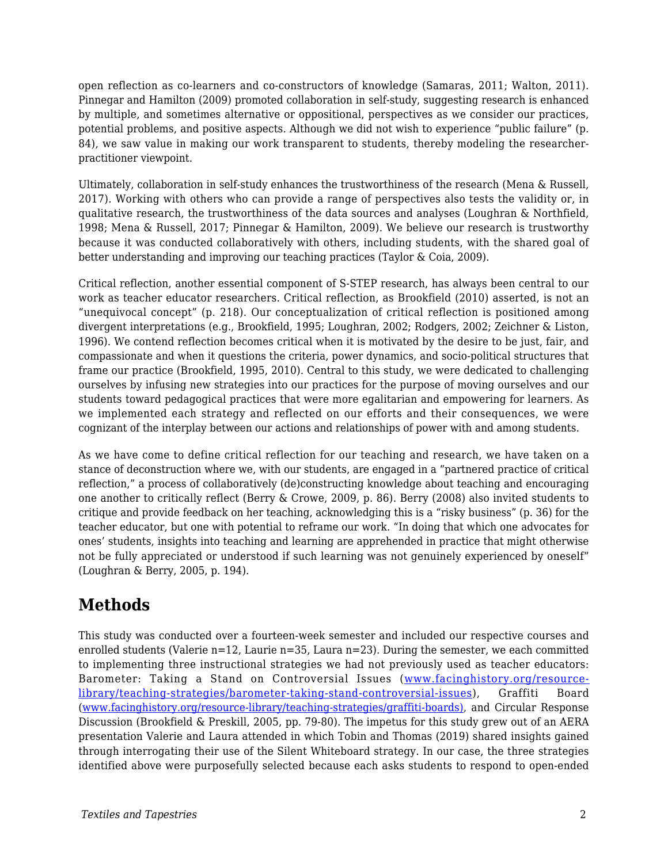open reflection as co-learners and co-constructors of knowledge (Samaras, 2011; Walton, 2011). Pinnegar and Hamilton (2009) promoted collaboration in self-study, suggesting research is enhanced by multiple, and sometimes alternative or oppositional, perspectives as we consider our practices, potential problems, and positive aspects. Although we did not wish to experience "public failure" (p. 84), we saw value in making our work transparent to students, thereby modeling the researcherpractitioner viewpoint.

Ultimately, collaboration in self-study enhances the trustworthiness of the research (Mena & Russell, 2017). Working with others who can provide a range of perspectives also tests the validity or, in qualitative research, the trustworthiness of the data sources and analyses (Loughran & Northfield, 1998; Mena & Russell, 2017; Pinnegar & Hamilton, 2009). We believe our research is trustworthy because it was conducted collaboratively with others, including students, with the shared goal of better understanding and improving our teaching practices (Taylor & Coia, 2009).

Critical reflection, another essential component of S-STEP research, has always been central to our work as teacher educator researchers. Critical reflection, as Brookfield (2010) asserted, is not an "unequivocal concept" (p. 218). Our conceptualization of critical reflection is positioned among divergent interpretations (e.g., Brookfield, 1995; Loughran, 2002; Rodgers, 2002; Zeichner & Liston, 1996). We contend reflection becomes critical when it is motivated by the desire to be just, fair, and compassionate and when it questions the criteria, power dynamics, and socio-political structures that frame our practice (Brookfield, 1995, 2010). Central to this study, we were dedicated to challenging ourselves by infusing new strategies into our practices for the purpose of moving ourselves and our students toward pedagogical practices that were more egalitarian and empowering for learners. As we implemented each strategy and reflected on our efforts and their consequences, we were cognizant of the interplay between our actions and relationships of power with and among students.

As we have come to define critical reflection for our teaching and research, we have taken on a stance of deconstruction where we, with our students, are engaged in a "partnered practice of critical reflection," a process of collaboratively (de)constructing knowledge about teaching and encouraging one another to critically reflect (Berry & Crowe, 2009, p. 86). Berry (2008) also invited students to critique and provide feedback on her teaching, acknowledging this is a "risky business" (p. 36) for the teacher educator, but one with potential to reframe our work. "In doing that which one advocates for ones' students, insights into teaching and learning are apprehended in practice that might otherwise not be fully appreciated or understood if such learning was not genuinely experienced by oneself" (Loughran & Berry, 2005, p. 194).

# **Methods**

This study was conducted over a fourteen-week semester and included our respective courses and enrolled students (Valerie  $n=12$ , Laurie  $n=35$ , Laura  $n=23$ ). During the semester, we each committed to implementing three instructional strategies we had not previously used as teacher educators: Barometer: Taking a Stand on Controversial Issues ([www.facinghistory.org/resource](http://www.facinghistory.org/resource-%20library/teaching-strategies/barometer-taking-stand-controversial-issues)[library/teaching-strategies/barometer-taking-stand-controversial-issues](http://www.facinghistory.org/resource-%20library/teaching-strategies/barometer-taking-stand-controversial-issues)), Graffiti Board ([www.facinghistory.org/resource-library/teaching-strategies/graffiti-boards\),](http://www.facinghistory.org/resource-library/teaching-strategies/graffiti-boards)) and Circular Response Discussion (Brookfield & Preskill, 2005, pp. 79-80). The impetus for this study grew out of an AERA presentation Valerie and Laura attended in which Tobin and Thomas (2019) shared insights gained through interrogating their use of the Silent Whiteboard strategy. In our case, the three strategies identified above were purposefully selected because each asks students to respond to open-ended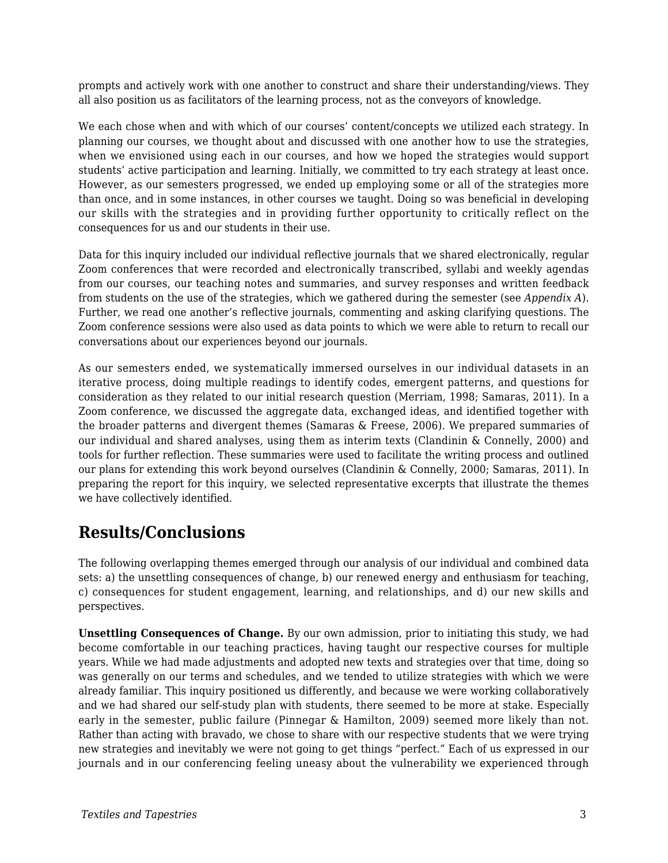prompts and actively work with one another to construct and share their understanding/views. They all also position us as facilitators of the learning process, not as the conveyors of knowledge.

We each chose when and with which of our courses' content/concepts we utilized each strategy. In planning our courses, we thought about and discussed with one another how to use the strategies, when we envisioned using each in our courses, and how we hoped the strategies would support students' active participation and learning. Initially, we committed to try each strategy at least once. However, as our semesters progressed, we ended up employing some or all of the strategies more than once, and in some instances, in other courses we taught. Doing so was beneficial in developing our skills with the strategies and in providing further opportunity to critically reflect on the consequences for us and our students in their use.

Data for this inquiry included our individual reflective journals that we shared electronically, regular Zoom conferences that were recorded and electronically transcribed, syllabi and weekly agendas from our courses, our teaching notes and summaries, and survey responses and written feedback from students on the use of the strategies, which we gathered during the semester (see *Appendix A*). Further, we read one another's reflective journals, commenting and asking clarifying questions. The Zoom conference sessions were also used as data points to which we were able to return to recall our conversations about our experiences beyond our journals.

As our semesters ended, we systematically immersed ourselves in our individual datasets in an iterative process, doing multiple readings to identify codes, emergent patterns, and questions for consideration as they related to our initial research question (Merriam, 1998; Samaras, 2011). In a Zoom conference, we discussed the aggregate data, exchanged ideas, and identified together with the broader patterns and divergent themes (Samaras & Freese, 2006). We prepared summaries of our individual and shared analyses, using them as interim texts (Clandinin & Connelly, 2000) and tools for further reflection. These summaries were used to facilitate the writing process and outlined our plans for extending this work beyond ourselves (Clandinin & Connelly, 2000; Samaras, 2011). In preparing the report for this inquiry, we selected representative excerpts that illustrate the themes we have collectively identified.

# **Results/Conclusions**

The following overlapping themes emerged through our analysis of our individual and combined data sets: a) the unsettling consequences of change, b) our renewed energy and enthusiasm for teaching, c) consequences for student engagement, learning, and relationships, and d) our new skills and perspectives.

**Unsettling Consequences of Change.** By our own admission, prior to initiating this study, we had become comfortable in our teaching practices, having taught our respective courses for multiple years. While we had made adjustments and adopted new texts and strategies over that time, doing so was generally on our terms and schedules, and we tended to utilize strategies with which we were already familiar. This inquiry positioned us differently, and because we were working collaboratively and we had shared our self-study plan with students, there seemed to be more at stake. Especially early in the semester, public failure (Pinnegar & Hamilton, 2009) seemed more likely than not. Rather than acting with bravado, we chose to share with our respective students that we were trying new strategies and inevitably we were not going to get things "perfect." Each of us expressed in our journals and in our conferencing feeling uneasy about the vulnerability we experienced through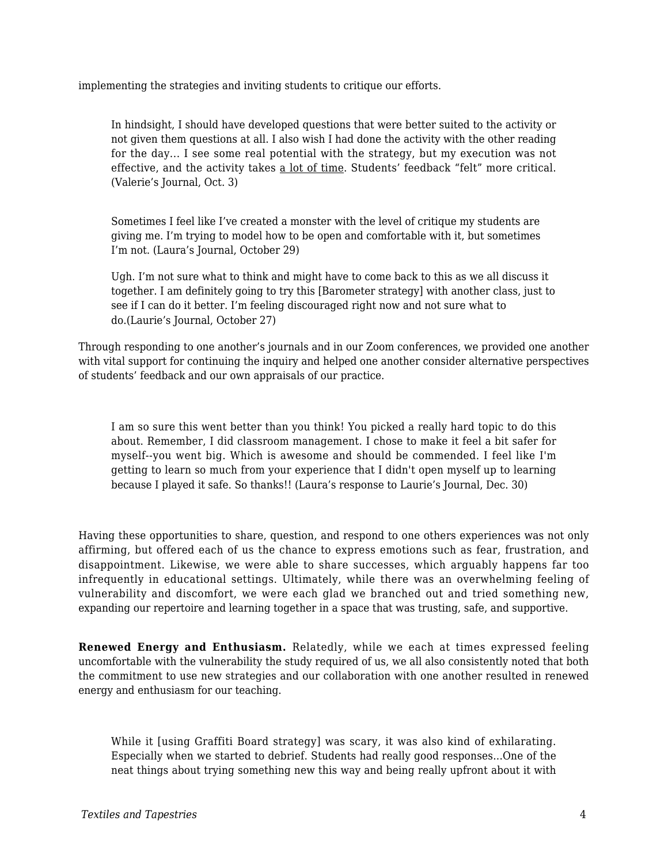implementing the strategies and inviting students to critique our efforts.

In hindsight, I should have developed questions that were better suited to the activity or not given them questions at all. I also wish I had done the activity with the other reading for the day... I see some real potential with the strategy, but my execution was not effective, and the activity takes a lot of time. Students' feedback "felt" more critical. (Valerie's Journal, Oct. 3)

Sometimes I feel like I've created a monster with the level of critique my students are giving me. I'm trying to model how to be open and comfortable with it, but sometimes I'm not. (Laura's Journal, October 29)

Ugh. I'm not sure what to think and might have to come back to this as we all discuss it together. I am definitely going to try this [Barometer strategy] with another class, just to see if I can do it better. I'm feeling discouraged right now and not sure what to do.(Laurie's Journal, October 27)

Through responding to one another's journals and in our Zoom conferences, we provided one another with vital support for continuing the inquiry and helped one another consider alternative perspectives of students' feedback and our own appraisals of our practice.

I am so sure this went better than you think! You picked a really hard topic to do this about. Remember, I did classroom management. I chose to make it feel a bit safer for myself--you went big. Which is awesome and should be commended. I feel like I'm getting to learn so much from your experience that I didn't open myself up to learning because I played it safe. So thanks!! (Laura's response to Laurie's Journal, Dec. 30)

Having these opportunities to share, question, and respond to one others experiences was not only affirming, but offered each of us the chance to express emotions such as fear, frustration, and disappointment. Likewise, we were able to share successes, which arguably happens far too infrequently in educational settings. Ultimately, while there was an overwhelming feeling of vulnerability and discomfort, we were each glad we branched out and tried something new, expanding our repertoire and learning together in a space that was trusting, safe, and supportive.

**Renewed Energy and Enthusiasm.** Relatedly, while we each at times expressed feeling uncomfortable with the vulnerability the study required of us, we all also consistently noted that both the commitment to use new strategies and our collaboration with one another resulted in renewed energy and enthusiasm for our teaching.

While it [using Graffiti Board strategy] was scary, it was also kind of exhilarating. Especially when we started to debrief. Students had really good responses...One of the neat things about trying something new this way and being really upfront about it with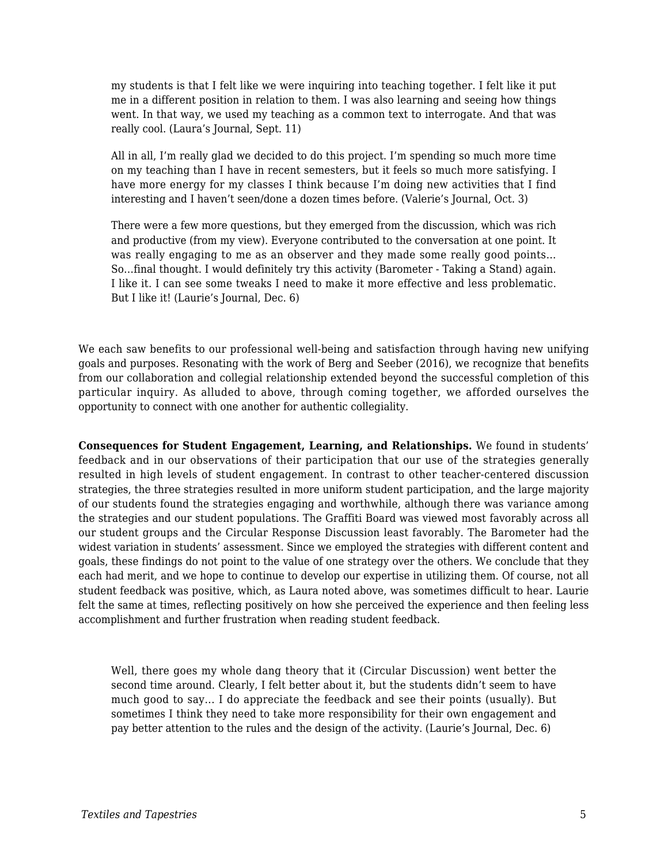my students is that I felt like we were inquiring into teaching together. I felt like it put me in a different position in relation to them. I was also learning and seeing how things went. In that way, we used my teaching as a common text to interrogate. And that was really cool. (Laura's Journal, Sept. 11)

All in all, I'm really glad we decided to do this project. I'm spending so much more time on my teaching than I have in recent semesters, but it feels so much more satisfying. I have more energy for my classes I think because I'm doing new activities that I find interesting and I haven't seen/done a dozen times before. (Valerie's Journal, Oct. 3)

There were a few more questions, but they emerged from the discussion, which was rich and productive (from my view). Everyone contributed to the conversation at one point. It was really engaging to me as an observer and they made some really good points… So…final thought. I would definitely try this activity (Barometer - Taking a Stand) again. I like it. I can see some tweaks I need to make it more effective and less problematic. But I like it! (Laurie's Journal, Dec. 6)

We each saw benefits to our professional well-being and satisfaction through having new unifying goals and purposes. Resonating with the work of Berg and Seeber (2016), we recognize that benefits from our collaboration and collegial relationship extended beyond the successful completion of this particular inquiry. As alluded to above, through coming together, we afforded ourselves the opportunity to connect with one another for authentic collegiality.

**Consequences for Student Engagement, Learning, and Relationships.** We found in students' feedback and in our observations of their participation that our use of the strategies generally resulted in high levels of student engagement. In contrast to other teacher-centered discussion strategies, the three strategies resulted in more uniform student participation, and the large majority of our students found the strategies engaging and worthwhile, although there was variance among the strategies and our student populations. The Graffiti Board was viewed most favorably across all our student groups and the Circular Response Discussion least favorably. The Barometer had the widest variation in students' assessment. Since we employed the strategies with different content and goals, these findings do not point to the value of one strategy over the others. We conclude that they each had merit, and we hope to continue to develop our expertise in utilizing them. Of course, not all student feedback was positive, which, as Laura noted above, was sometimes difficult to hear. Laurie felt the same at times, reflecting positively on how she perceived the experience and then feeling less accomplishment and further frustration when reading student feedback.

Well, there goes my whole dang theory that it (Circular Discussion) went better the second time around. Clearly, I felt better about it, but the students didn't seem to have much good to say... I do appreciate the feedback and see their points (usually). But sometimes I think they need to take more responsibility for their own engagement and pay better attention to the rules and the design of the activity. (Laurie's Journal, Dec. 6)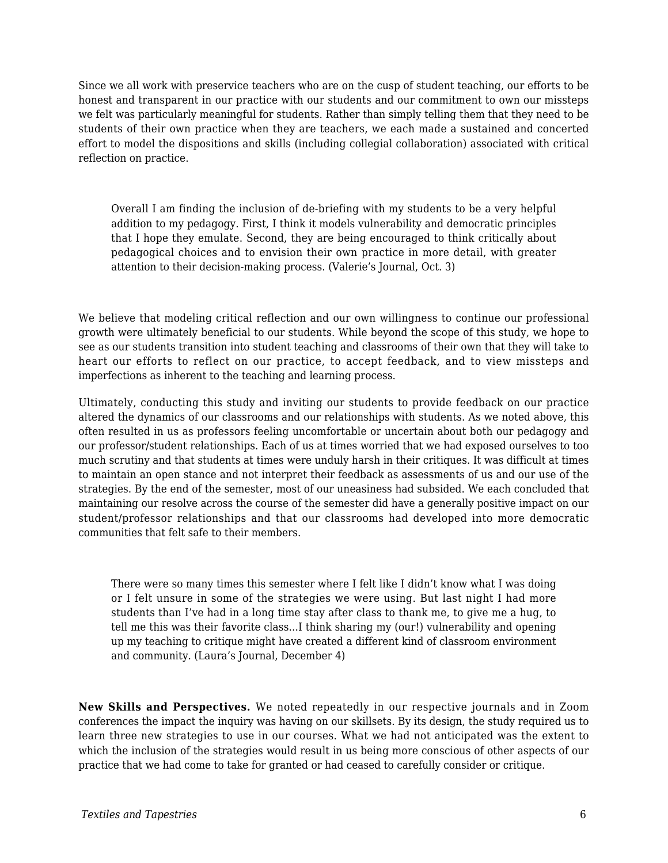Since we all work with preservice teachers who are on the cusp of student teaching, our efforts to be honest and transparent in our practice with our students and our commitment to own our missteps we felt was particularly meaningful for students. Rather than simply telling them that they need to be students of their own practice when they are teachers, we each made a sustained and concerted effort to model the dispositions and skills (including collegial collaboration) associated with critical reflection on practice.

Overall I am finding the inclusion of de-briefing with my students to be a very helpful addition to my pedagogy. First, I think it models vulnerability and democratic principles that I hope they emulate. Second, they are being encouraged to think critically about pedagogical choices and to envision their own practice in more detail, with greater attention to their decision-making process. (Valerie's Journal, Oct. 3)

We believe that modeling critical reflection and our own willingness to continue our professional growth were ultimately beneficial to our students. While beyond the scope of this study, we hope to see as our students transition into student teaching and classrooms of their own that they will take to heart our efforts to reflect on our practice, to accept feedback, and to view missteps and imperfections as inherent to the teaching and learning process.

Ultimately, conducting this study and inviting our students to provide feedback on our practice altered the dynamics of our classrooms and our relationships with students. As we noted above, this often resulted in us as professors feeling uncomfortable or uncertain about both our pedagogy and our professor/student relationships. Each of us at times worried that we had exposed ourselves to too much scrutiny and that students at times were unduly harsh in their critiques. It was difficult at times to maintain an open stance and not interpret their feedback as assessments of us and our use of the strategies. By the end of the semester, most of our uneasiness had subsided. We each concluded that maintaining our resolve across the course of the semester did have a generally positive impact on our student/professor relationships and that our classrooms had developed into more democratic communities that felt safe to their members.

There were so many times this semester where I felt like I didn't know what I was doing or I felt unsure in some of the strategies we were using. But last night I had more students than I've had in a long time stay after class to thank me, to give me a hug, to tell me this was their favorite class...I think sharing my (our!) vulnerability and opening up my teaching to critique might have created a different kind of classroom environment and community. (Laura's Journal, December 4)

**New Skills and Perspectives.** We noted repeatedly in our respective journals and in Zoom conferences the impact the inquiry was having on our skillsets. By its design, the study required us to learn three new strategies to use in our courses. What we had not anticipated was the extent to which the inclusion of the strategies would result in us being more conscious of other aspects of our practice that we had come to take for granted or had ceased to carefully consider or critique.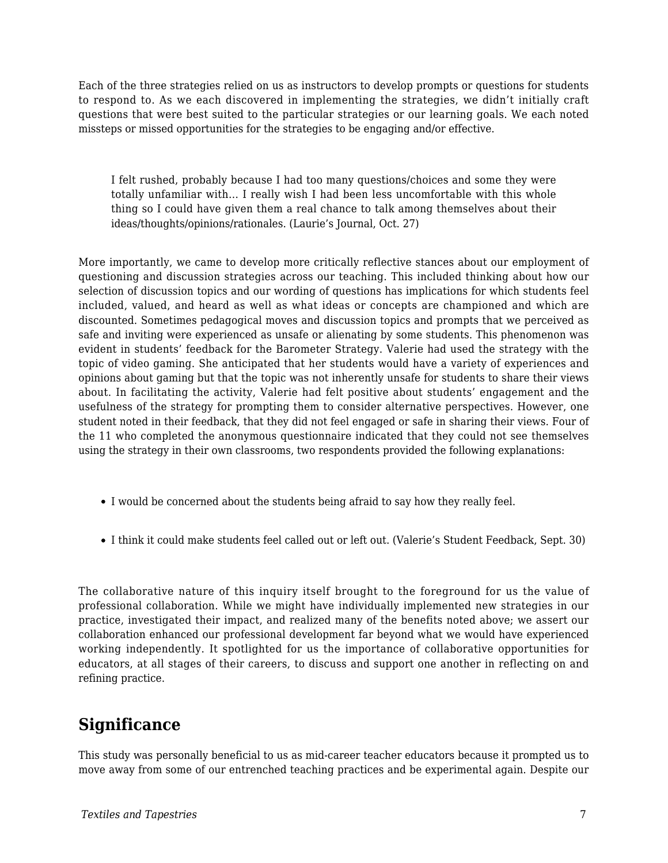Each of the three strategies relied on us as instructors to develop prompts or questions for students to respond to. As we each discovered in implementing the strategies, we didn't initially craft questions that were best suited to the particular strategies or our learning goals. We each noted missteps or missed opportunities for the strategies to be engaging and/or effective.

I felt rushed, probably because I had too many questions/choices and some they were totally unfamiliar with... I really wish I had been less uncomfortable with this whole thing so I could have given them a real chance to talk among themselves about their ideas/thoughts/opinions/rationales. (Laurie's Journal, Oct. 27)

More importantly, we came to develop more critically reflective stances about our employment of questioning and discussion strategies across our teaching. This included thinking about how our selection of discussion topics and our wording of questions has implications for which students feel included, valued, and heard as well as what ideas or concepts are championed and which are discounted. Sometimes pedagogical moves and discussion topics and prompts that we perceived as safe and inviting were experienced as unsafe or alienating by some students. This phenomenon was evident in students' feedback for the Barometer Strategy. Valerie had used the strategy with the topic of video gaming. She anticipated that her students would have a variety of experiences and opinions about gaming but that the topic was not inherently unsafe for students to share their views about. In facilitating the activity, Valerie had felt positive about students' engagement and the usefulness of the strategy for prompting them to consider alternative perspectives. However, one student noted in their feedback, that they did not feel engaged or safe in sharing their views. Four of the 11 who completed the anonymous questionnaire indicated that they could not see themselves using the strategy in their own classrooms, two respondents provided the following explanations:

- I would be concerned about the students being afraid to say how they really feel.
- I think it could make students feel called out or left out. (Valerie's Student Feedback, Sept. 30)

The collaborative nature of this inquiry itself brought to the foreground for us the value of professional collaboration. While we might have individually implemented new strategies in our practice, investigated their impact, and realized many of the benefits noted above; we assert our collaboration enhanced our professional development far beyond what we would have experienced working independently. It spotlighted for us the importance of collaborative opportunities for educators, at all stages of their careers, to discuss and support one another in reflecting on and refining practice.

# **Significance**

This study was personally beneficial to us as mid-career teacher educators because it prompted us to move away from some of our entrenched teaching practices and be experimental again. Despite our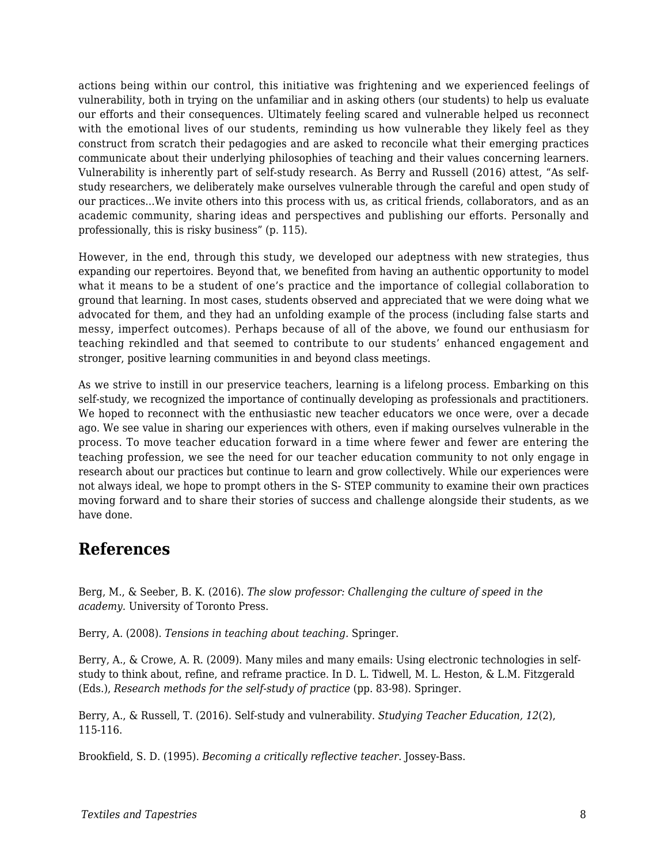actions being within our control, this initiative was frightening and we experienced feelings of vulnerability, both in trying on the unfamiliar and in asking others (our students) to help us evaluate our efforts and their consequences. Ultimately feeling scared and vulnerable helped us reconnect with the emotional lives of our students, reminding us how vulnerable they likely feel as they construct from scratch their pedagogies and are asked to reconcile what their emerging practices communicate about their underlying philosophies of teaching and their values concerning learners. Vulnerability is inherently part of self-study research. As Berry and Russell (2016) attest, "As selfstudy researchers, we deliberately make ourselves vulnerable through the careful and open study of our practices...We invite others into this process with us, as critical friends, collaborators, and as an academic community, sharing ideas and perspectives and publishing our efforts. Personally and professionally, this is risky business" (p. 115).

However, in the end, through this study, we developed our adeptness with new strategies, thus expanding our repertoires. Beyond that, we benefited from having an authentic opportunity to model what it means to be a student of one's practice and the importance of collegial collaboration to ground that learning. In most cases, students observed and appreciated that we were doing what we advocated for them, and they had an unfolding example of the process (including false starts and messy, imperfect outcomes). Perhaps because of all of the above, we found our enthusiasm for teaching rekindled and that seemed to contribute to our students' enhanced engagement and stronger, positive learning communities in and beyond class meetings.

As we strive to instill in our preservice teachers, learning is a lifelong process. Embarking on this self-study, we recognized the importance of continually developing as professionals and practitioners. We hoped to reconnect with the enthusiastic new teacher educators we once were, over a decade ago. We see value in sharing our experiences with others, even if making ourselves vulnerable in the process. To move teacher education forward in a time where fewer and fewer are entering the teaching profession, we see the need for our teacher education community to not only engage in research about our practices but continue to learn and grow collectively. While our experiences were not always ideal, we hope to prompt others in the S- STEP community to examine their own practices moving forward and to share their stories of success and challenge alongside their students, as we have done.

### **References**

Berg, M., & Seeber, B. K. (2016). *The slow professor: Challenging the culture of speed in the academy.* University of Toronto Press.

Berry, A. (2008). *Tensions in teaching about teaching.* Springer.

Berry, A., & Crowe, A. R. (2009). Many miles and many emails: Using electronic technologies in selfstudy to think about, refine, and reframe practice. In D. L. Tidwell, M. L. Heston, & L.M. Fitzgerald (Eds.), *Research methods for the self-study of practice* (pp. 83-98). Springer.

Berry, A., & Russell, T. (2016). Self-study and vulnerability. *Studying Teacher Education, 12*(2), 115-116.

Brookfield, S. D. (1995). *Becoming a critically reflective teacher*. Jossey-Bass.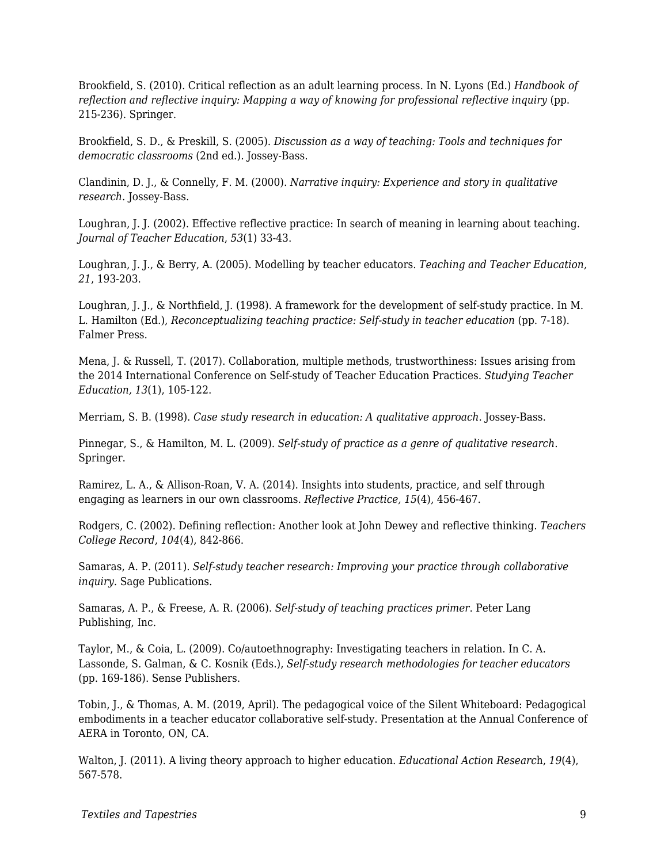Brookfield, S. (2010). Critical reflection as an adult learning process. In N. Lyons (Ed.) *Handbook of reflection and reflective inquiry: Mapping a way of knowing for professional reflective inquiry* (pp. 215-236). Springer.

Brookfield, S. D., & Preskill, S. (2005). *Discussion as a way of teaching: Tools and techniques for democratic classrooms* (2nd ed.)*.* Jossey-Bass.

Clandinin, D. J., & Connelly, F. M. (2000). *Narrative inquiry: Experience and story in qualitative research*. Jossey-Bass.

Loughran, J. J. (2002). Effective reflective practice: In search of meaning in learning about teaching. *Journal of Teacher Education*, *53*(1) 33-43.

Loughran, J. J., & Berry, A. (2005). Modelling by teacher educators. *Teaching and Teacher Education, 21*, 193-203.

Loughran, J. J., & Northfield, J. (1998). A framework for the development of self-study practice. In M. L. Hamilton (Ed.), *Reconceptualizing teaching practice: Self-study in teacher education* (pp. 7-18). Falmer Press.

Mena, J. & Russell, T. (2017). Collaboration, multiple methods, trustworthiness: Issues arising from the 2014 International Conference on Self-study of Teacher Education Practices. *Studying Teacher Education, 13*(1), 105-122.

Merriam, S. B. (1998). *Case study research in education: A qualitative approach*. Jossey-Bass.

Pinnegar, S., & Hamilton, M. L. (2009). *Self-study of practice as a genre of qualitative research*. Springer.

Ramirez, L. A., & Allison-Roan, V. A. (2014). Insights into students, practice, and self through engaging as learners in our own classrooms. *Reflective Practice, 15*(4), 456-467.

Rodgers, C. (2002). Defining reflection: Another look at John Dewey and reflective thinking. *Teachers College Record*, *104*(4), 842-866.

Samaras, A. P. (2011). *Self-study teacher research: Improving your practice through collaborative inquiry.* Sage Publications.

Samaras, A. P., & Freese, A. R. (2006). *Self-study of teaching practices primer*. Peter Lang Publishing, Inc.

Taylor, M., & Coia, L. (2009). Co/autoethnography: Investigating teachers in relation. In C. A. Lassonde, S. Galman, & C. Kosnik (Eds.), *Self-study research methodologies for teacher educators* (pp. 169-186). Sense Publishers.

Tobin, J., & Thomas, A. M. (2019, April). The pedagogical voice of the Silent Whiteboard: Pedagogical embodiments in a teacher educator collaborative self-study. Presentation at the Annual Conference of AERA in Toronto, ON, CA.

Walton, J. (2011). A living theory approach to higher education. *Educational Action Researc*h, *19*(4), 567-578.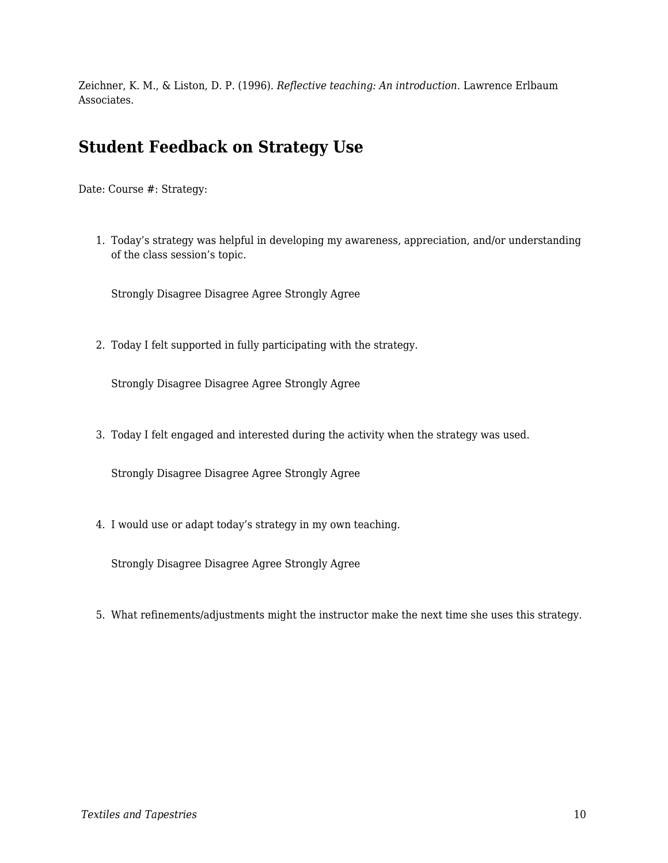Zeichner, K. M., & Liston, D. P. (1996). *Reflective teaching: An introduction*. Lawrence Erlbaum Associates.

# **Student Feedback on Strategy Use**

Date: Course #: Strategy:

1. Today's strategy was helpful in developing my awareness, appreciation, and/or understanding of the class session's topic.

Strongly Disagree Disagree Agree Strongly Agree

2. Today I felt supported in fully participating with the strategy.

Strongly Disagree Disagree Agree Strongly Agree

3. Today I felt engaged and interested during the activity when the strategy was used.

Strongly Disagree Disagree Agree Strongly Agree

4. I would use or adapt today's strategy in my own teaching.

Strongly Disagree Disagree Agree Strongly Agree

5. What refinements/adjustments might the instructor make the next time she uses this strategy.